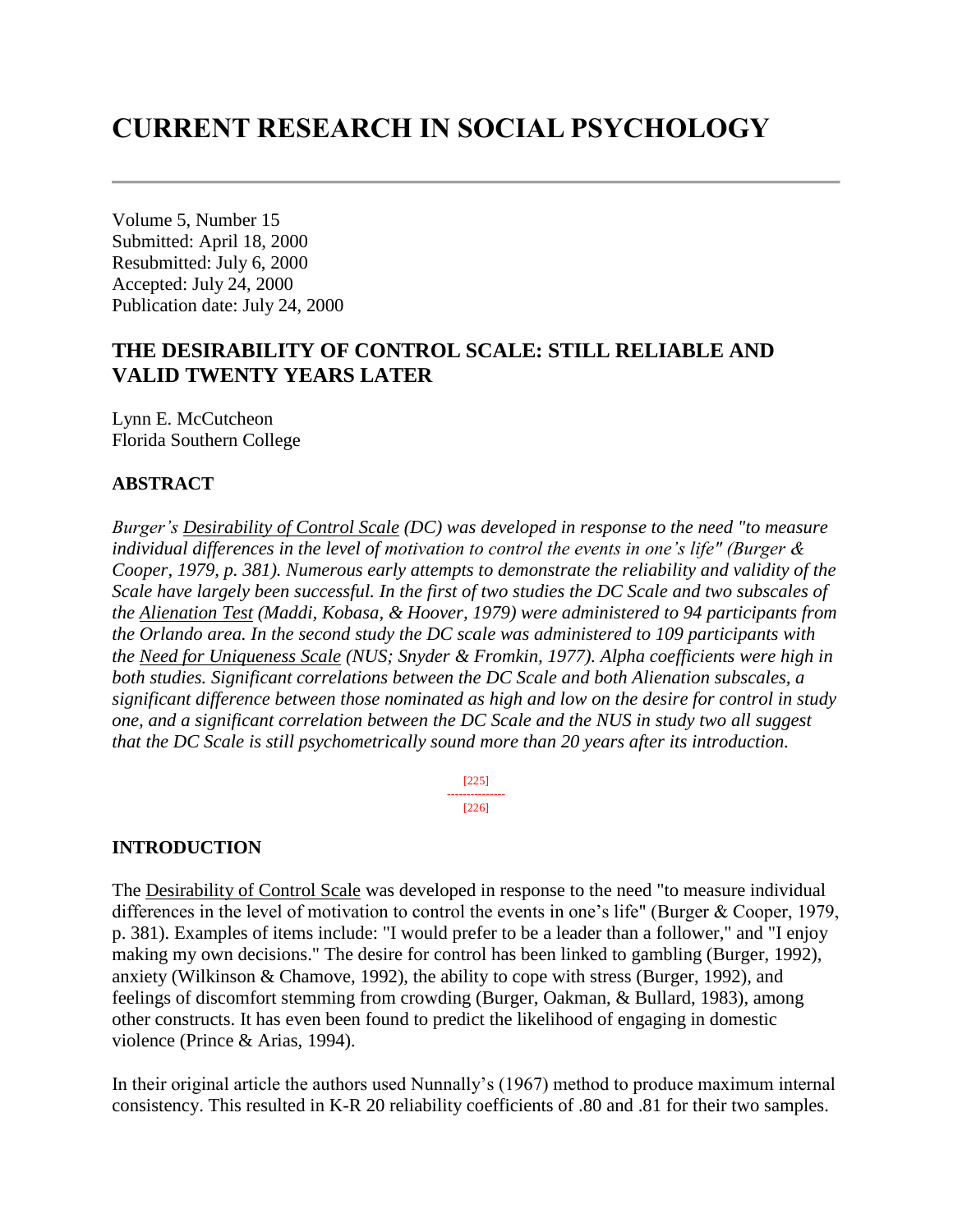# **CURRENT RESEARCH IN SOCIAL PSYCHOLOGY**

Volume 5, Number 15 Submitted: April 18, 2000 Resubmitted: July 6, 2000 Accepted: July 24, 2000 Publication date: July 24, 2000

# **THE DESIRABILITY OF CONTROL SCALE: STILL RELIABLE AND VALID TWENTY YEARS LATER**

Lynn E. McCutcheon Florida Southern College

#### **ABSTRACT**

*Burger's Desirability of Control Scale (DC) was developed in response to the need "to measure individual differences in the level of motivation to control the events in one's life" (Burger & Cooper, 1979, p. 381). Numerous early attempts to demonstrate the reliability and validity of the Scale have largely been successful. In the first of two studies the DC Scale and two subscales of the Alienation Test (Maddi, Kobasa, & Hoover, 1979) were administered to 94 participants from the Orlando area. In the second study the DC scale was administered to 109 participants with the Need for Uniqueness Scale (NUS; Snyder & Fromkin, 1977). Alpha coefficients were high in both studies. Significant correlations between the DC Scale and both Alienation subscales, a significant difference between those nominated as high and low on the desire for control in study one, and a significant correlation between the DC Scale and the NUS in study two all suggest that the DC Scale is still psychometrically sound more than 20 years after its introduction.* 

> [225] --------------- [226]

#### **INTRODUCTION**

The Desirability of Control Scale was developed in response to the need "to measure individual differences in the level of motivation to control the events in one's life" (Burger & Cooper, 1979, p. 381). Examples of items include: "I would prefer to be a leader than a follower," and "I enjoy making my own decisions." The desire for control has been linked to gambling (Burger, 1992), anxiety (Wilkinson & Chamove, 1992), the ability to cope with stress (Burger, 1992), and feelings of discomfort stemming from crowding (Burger, Oakman, & Bullard, 1983), among other constructs. It has even been found to predict the likelihood of engaging in domestic violence (Prince & Arias, 1994).

In their original article the authors used Nunnally's (1967) method to produce maximum internal consistency. This resulted in K-R 20 reliability coefficients of .80 and .81 for their two samples.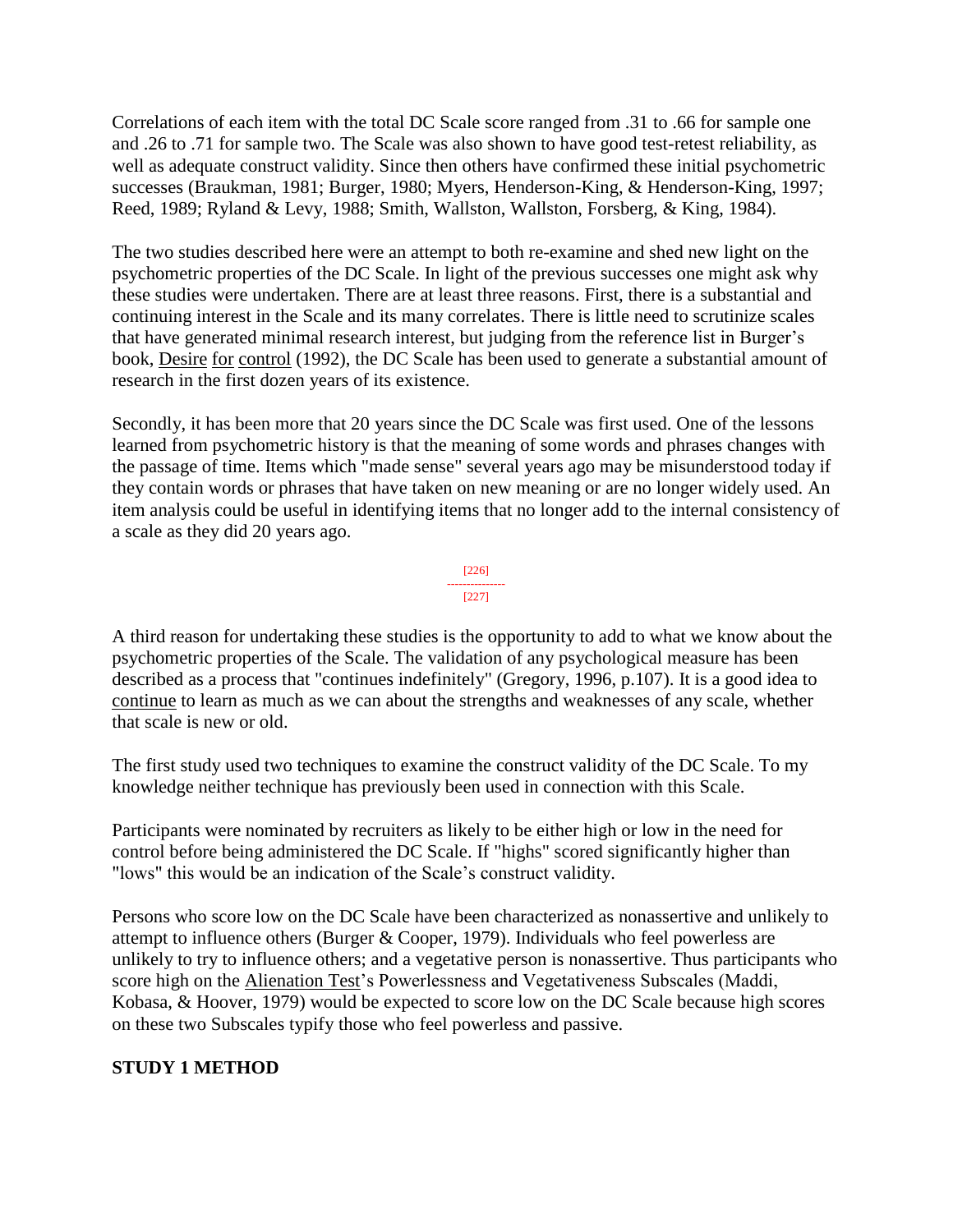Correlations of each item with the total DC Scale score ranged from .31 to .66 for sample one and .26 to .71 for sample two. The Scale was also shown to have good test-retest reliability, as well as adequate construct validity. Since then others have confirmed these initial psychometric successes (Braukman, 1981; Burger, 1980; Myers, Henderson-King, & Henderson-King, 1997; Reed, 1989; Ryland & Levy, 1988; Smith, Wallston, Wallston, Forsberg, & King, 1984).

The two studies described here were an attempt to both re-examine and shed new light on the psychometric properties of the DC Scale. In light of the previous successes one might ask why these studies were undertaken. There are at least three reasons. First, there is a substantial and continuing interest in the Scale and its many correlates. There is little need to scrutinize scales that have generated minimal research interest, but judging from the reference list in Burger's book, Desire for control (1992), the DC Scale has been used to generate a substantial amount of research in the first dozen years of its existence.

Secondly, it has been more that 20 years since the DC Scale was first used. One of the lessons learned from psychometric history is that the meaning of some words and phrases changes with the passage of time. Items which "made sense" several years ago may be misunderstood today if they contain words or phrases that have taken on new meaning or are no longer widely used. An item analysis could be useful in identifying items that no longer add to the internal consistency of a scale as they did 20 years ago.



A third reason for undertaking these studies is the opportunity to add to what we know about the psychometric properties of the Scale. The validation of any psychological measure has been described as a process that "continues indefinitely" (Gregory, 1996, p.107). It is a good idea to continue to learn as much as we can about the strengths and weaknesses of any scale, whether that scale is new or old.

The first study used two techniques to examine the construct validity of the DC Scale. To my knowledge neither technique has previously been used in connection with this Scale.

Participants were nominated by recruiters as likely to be either high or low in the need for control before being administered the DC Scale. If "highs" scored significantly higher than "lows" this would be an indication of the Scale's construct validity.

Persons who score low on the DC Scale have been characterized as nonassertive and unlikely to attempt to influence others (Burger & Cooper, 1979). Individuals who feel powerless are unlikely to try to influence others; and a vegetative person is nonassertive. Thus participants who score high on the Alienation Test's Powerlessness and Vegetativeness Subscales (Maddi, Kobasa, & Hoover, 1979) would be expected to score low on the DC Scale because high scores on these two Subscales typify those who feel powerless and passive.

## **STUDY 1 METHOD**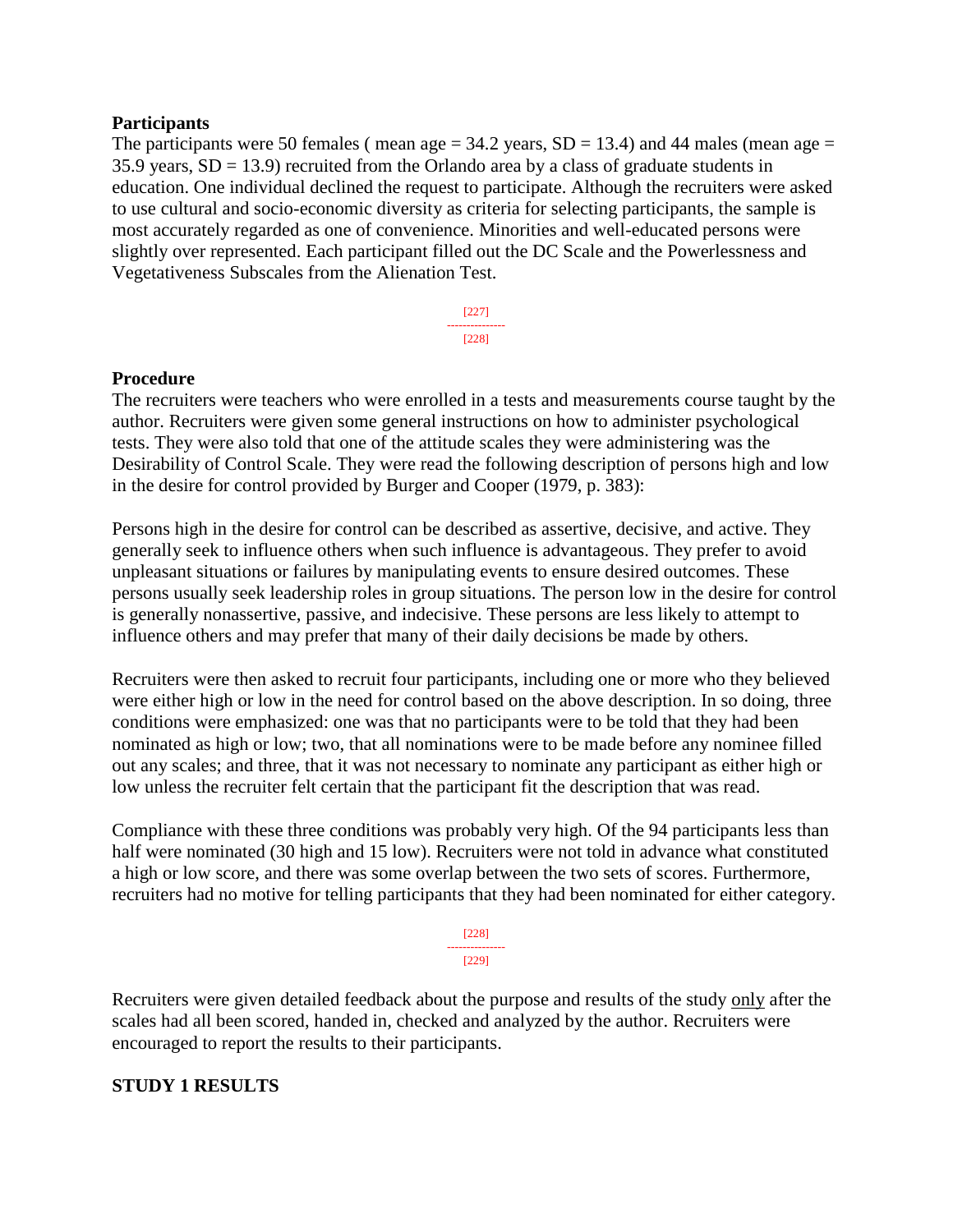#### **Participants**

The participants were 50 females (mean age  $=$  34.2 years, SD  $=$  13.4) and 44 males (mean age  $=$ 35.9 years,  $SD = 13.9$ ) recruited from the Orlando area by a class of graduate students in education. One individual declined the request to participate. Although the recruiters were asked to use cultural and socio-economic diversity as criteria for selecting participants, the sample is most accurately regarded as one of convenience. Minorities and well-educated persons were slightly over represented. Each participant filled out the DC Scale and the Powerlessness and Vegetativeness Subscales from the Alienation Test.

> [227] --------------- [228]

#### **Procedure**

The recruiters were teachers who were enrolled in a tests and measurements course taught by the author. Recruiters were given some general instructions on how to administer psychological tests. They were also told that one of the attitude scales they were administering was the Desirability of Control Scale. They were read the following description of persons high and low in the desire for control provided by Burger and Cooper (1979, p. 383):

Persons high in the desire for control can be described as assertive, decisive, and active. They generally seek to influence others when such influence is advantageous. They prefer to avoid unpleasant situations or failures by manipulating events to ensure desired outcomes. These persons usually seek leadership roles in group situations. The person low in the desire for control is generally nonassertive, passive, and indecisive. These persons are less likely to attempt to influence others and may prefer that many of their daily decisions be made by others.

Recruiters were then asked to recruit four participants, including one or more who they believed were either high or low in the need for control based on the above description. In so doing, three conditions were emphasized: one was that no participants were to be told that they had been nominated as high or low; two, that all nominations were to be made before any nominee filled out any scales; and three, that it was not necessary to nominate any participant as either high or low unless the recruiter felt certain that the participant fit the description that was read.

Compliance with these three conditions was probably very high. Of the 94 participants less than half were nominated (30 high and 15 low). Recruiters were not told in advance what constituted a high or low score, and there was some overlap between the two sets of scores. Furthermore, recruiters had no motive for telling participants that they had been nominated for either category.

> [228] --------------- [229]

Recruiters were given detailed feedback about the purpose and results of the study only after the scales had all been scored, handed in, checked and analyzed by the author. Recruiters were encouraged to report the results to their participants.

#### **STUDY 1 RESULTS**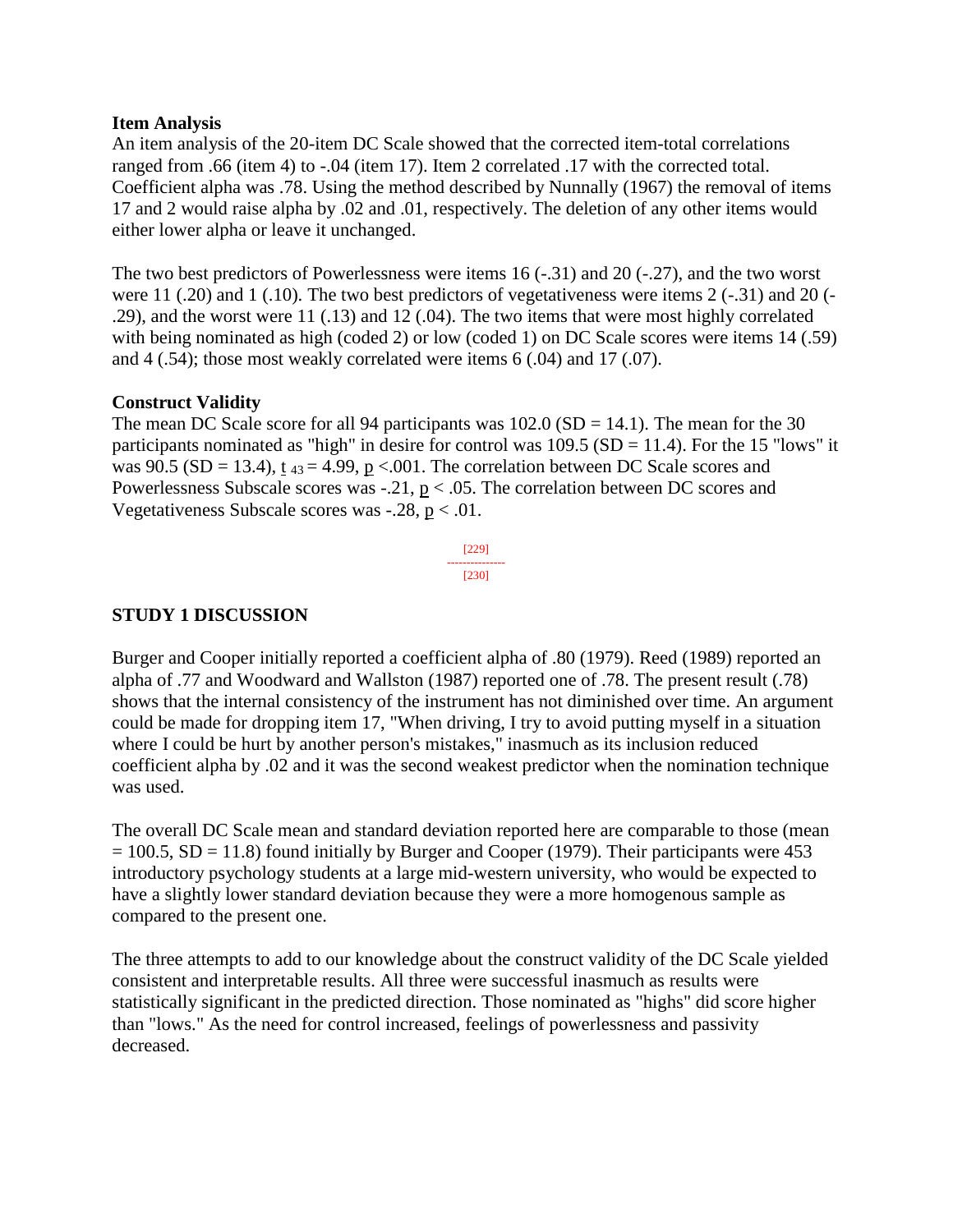#### **Item Analysis**

An item analysis of the 20-item DC Scale showed that the corrected item-total correlations ranged from .66 (item 4) to -.04 (item 17). Item 2 correlated .17 with the corrected total. Coefficient alpha was .78. Using the method described by Nunnally (1967) the removal of items 17 and 2 would raise alpha by .02 and .01, respectively. The deletion of any other items would either lower alpha or leave it unchanged.

The two best predictors of Powerlessness were items 16 (-.31) and 20 (-.27), and the two worst were 11 (.20) and 1 (.10). The two best predictors of vegetativeness were items 2 (-.31) and 20 (- .29), and the worst were 11 (.13) and 12 (.04). The two items that were most highly correlated with being nominated as high (coded 2) or low (coded 1) on DC Scale scores were items 14 (.59) and 4 (.54); those most weakly correlated were items 6 (.04) and 17 (.07).

#### **Construct Validity**

The mean DC Scale score for all 94 participants was  $102.0$  (SD = 14.1). The mean for the 30 participants nominated as "high" in desire for control was  $109.5$  (SD = 11.4). For the 15 "lows" it was 90.5 (SD = 13.4),  $t_{43}$  = 4.99,  $p \lt 0.001$ . The correlation between DC Scale scores and Powerlessness Subscale scores was  $-0.21$ , p  $< 0.05$ . The correlation between DC scores and Vegetativeness Subscale scores was  $-.28$ ,  $p < .01$ .

> [229] --------------- [230]

#### **STUDY 1 DISCUSSION**

Burger and Cooper initially reported a coefficient alpha of .80 (1979). Reed (1989) reported an alpha of .77 and Woodward and Wallston (1987) reported one of .78. The present result (.78) shows that the internal consistency of the instrument has not diminished over time. An argument could be made for dropping item 17, "When driving, I try to avoid putting myself in a situation where I could be hurt by another person's mistakes," inasmuch as its inclusion reduced coefficient alpha by .02 and it was the second weakest predictor when the nomination technique was used.

The overall DC Scale mean and standard deviation reported here are comparable to those (mean  $= 100.5$ , SD = 11.8) found initially by Burger and Cooper (1979). Their participants were 453 introductory psychology students at a large mid-western university, who would be expected to have a slightly lower standard deviation because they were a more homogenous sample as compared to the present one.

The three attempts to add to our knowledge about the construct validity of the DC Scale yielded consistent and interpretable results. All three were successful inasmuch as results were statistically significant in the predicted direction. Those nominated as "highs" did score higher than "lows." As the need for control increased, feelings of powerlessness and passivity decreased.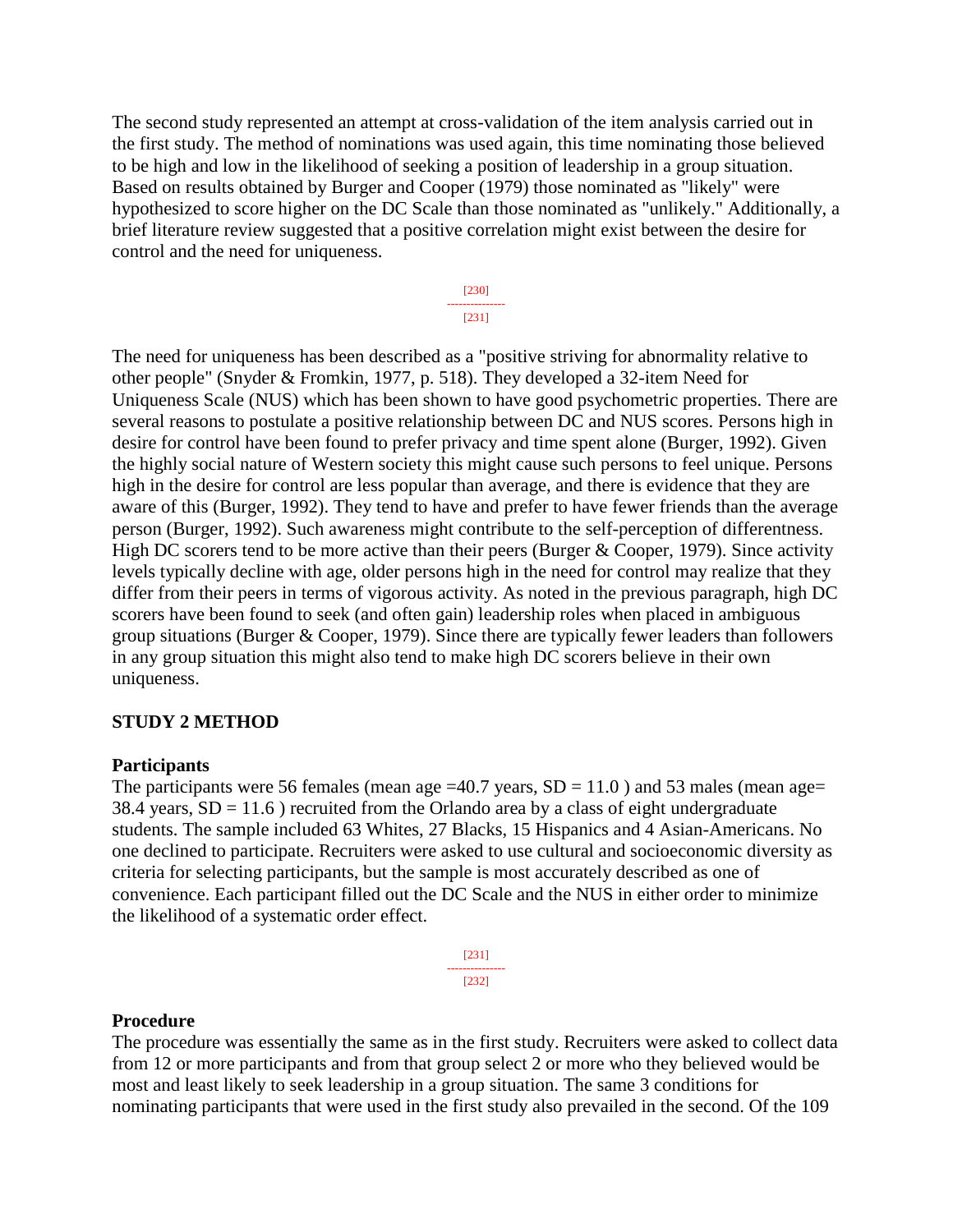The second study represented an attempt at cross-validation of the item analysis carried out in the first study. The method of nominations was used again, this time nominating those believed to be high and low in the likelihood of seeking a position of leadership in a group situation. Based on results obtained by Burger and Cooper (1979) those nominated as "likely" were hypothesized to score higher on the DC Scale than those nominated as "unlikely." Additionally, a brief literature review suggested that a positive correlation might exist between the desire for control and the need for uniqueness.

> [230] --------------- [231]

The need for uniqueness has been described as a "positive striving for abnormality relative to other people" (Snyder & Fromkin, 1977, p. 518). They developed a 32-item Need for Uniqueness Scale (NUS) which has been shown to have good psychometric properties. There are several reasons to postulate a positive relationship between DC and NUS scores. Persons high in desire for control have been found to prefer privacy and time spent alone (Burger, 1992). Given the highly social nature of Western society this might cause such persons to feel unique. Persons high in the desire for control are less popular than average, and there is evidence that they are aware of this (Burger, 1992). They tend to have and prefer to have fewer friends than the average person (Burger, 1992). Such awareness might contribute to the self-perception of differentness. High DC scorers tend to be more active than their peers (Burger  $& Cooper, 1979$ ). Since activity levels typically decline with age, older persons high in the need for control may realize that they differ from their peers in terms of vigorous activity. As noted in the previous paragraph, high DC scorers have been found to seek (and often gain) leadership roles when placed in ambiguous group situations (Burger & Cooper, 1979). Since there are typically fewer leaders than followers in any group situation this might also tend to make high DC scorers believe in their own uniqueness.

#### **STUDY 2 METHOD**

#### **Participants**

The participants were 56 females (mean age  $=40.7$  years,  $SD = 11.0$ ) and 53 males (mean age= 38.4 years,  $SD = 11.6$ ) recruited from the Orlando area by a class of eight undergraduate students. The sample included 63 Whites, 27 Blacks, 15 Hispanics and 4 Asian-Americans. No one declined to participate. Recruiters were asked to use cultural and socioeconomic diversity as criteria for selecting participants, but the sample is most accurately described as one of convenience. Each participant filled out the DC Scale and the NUS in either order to minimize the likelihood of a systematic order effect.

> [231] --------------- [232]

#### **Procedure**

The procedure was essentially the same as in the first study. Recruiters were asked to collect data from 12 or more participants and from that group select 2 or more who they believed would be most and least likely to seek leadership in a group situation. The same 3 conditions for nominating participants that were used in the first study also prevailed in the second. Of the 109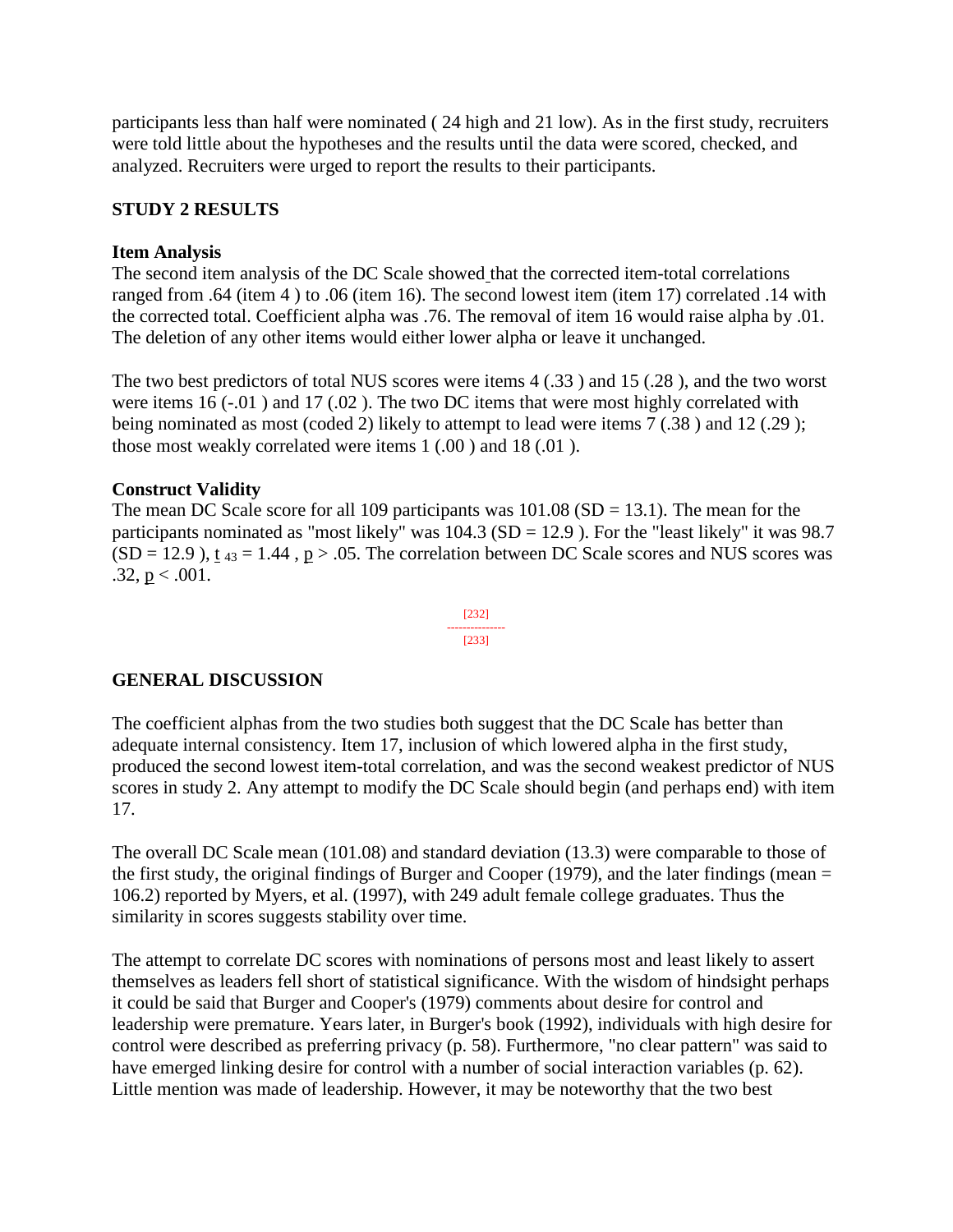participants less than half were nominated ( 24 high and 21 low). As in the first study, recruiters were told little about the hypotheses and the results until the data were scored, checked, and analyzed. Recruiters were urged to report the results to their participants.

## **STUDY 2 RESULTS**

#### **Item Analysis**

The second item analysis of the DC Scale showed that the corrected item-total correlations ranged from .64 (item 4 ) to .06 (item 16). The second lowest item (item 17) correlated .14 with the corrected total. Coefficient alpha was .76. The removal of item 16 would raise alpha by .01. The deletion of any other items would either lower alpha or leave it unchanged.

The two best predictors of total NUS scores were items 4 (.33 ) and 15 (.28 ), and the two worst were items 16 (-.01) and 17 (.02). The two DC items that were most highly correlated with being nominated as most (coded 2) likely to attempt to lead were items 7 (.38 ) and 12 (.29 ); those most weakly correlated were items 1 (.00 ) and 18 (.01 ).

#### **Construct Validity**

The mean DC Scale score for all 109 participants was  $101.08$  (SD = 13.1). The mean for the participants nominated as "most likely" was  $104.3$  (SD = 12.9). For the "least likely" it was 98.7  $(SD = 12.9)$ , t  $_{43} = 1.44$ , p > .05. The correlation between DC Scale scores and NUS scores was  $.32, p < .001.$ 

> [232] --------------- [233]

## **GENERAL DISCUSSION**

The coefficient alphas from the two studies both suggest that the DC Scale has better than adequate internal consistency. Item 17, inclusion of which lowered alpha in the first study, produced the second lowest item-total correlation, and was the second weakest predictor of NUS scores in study 2. Any attempt to modify the DC Scale should begin (and perhaps end) with item 17.

The overall DC Scale mean (101.08) and standard deviation (13.3) were comparable to those of the first study, the original findings of Burger and Cooper (1979), and the later findings (mean  $=$ 106.2) reported by Myers, et al. (1997), with 249 adult female college graduates. Thus the similarity in scores suggests stability over time.

The attempt to correlate DC scores with nominations of persons most and least likely to assert themselves as leaders fell short of statistical significance. With the wisdom of hindsight perhaps it could be said that Burger and Cooper's (1979) comments about desire for control and leadership were premature. Years later, in Burger's book (1992), individuals with high desire for control were described as preferring privacy (p. 58). Furthermore, "no clear pattern" was said to have emerged linking desire for control with a number of social interaction variables (p. 62). Little mention was made of leadership. However, it may be noteworthy that the two best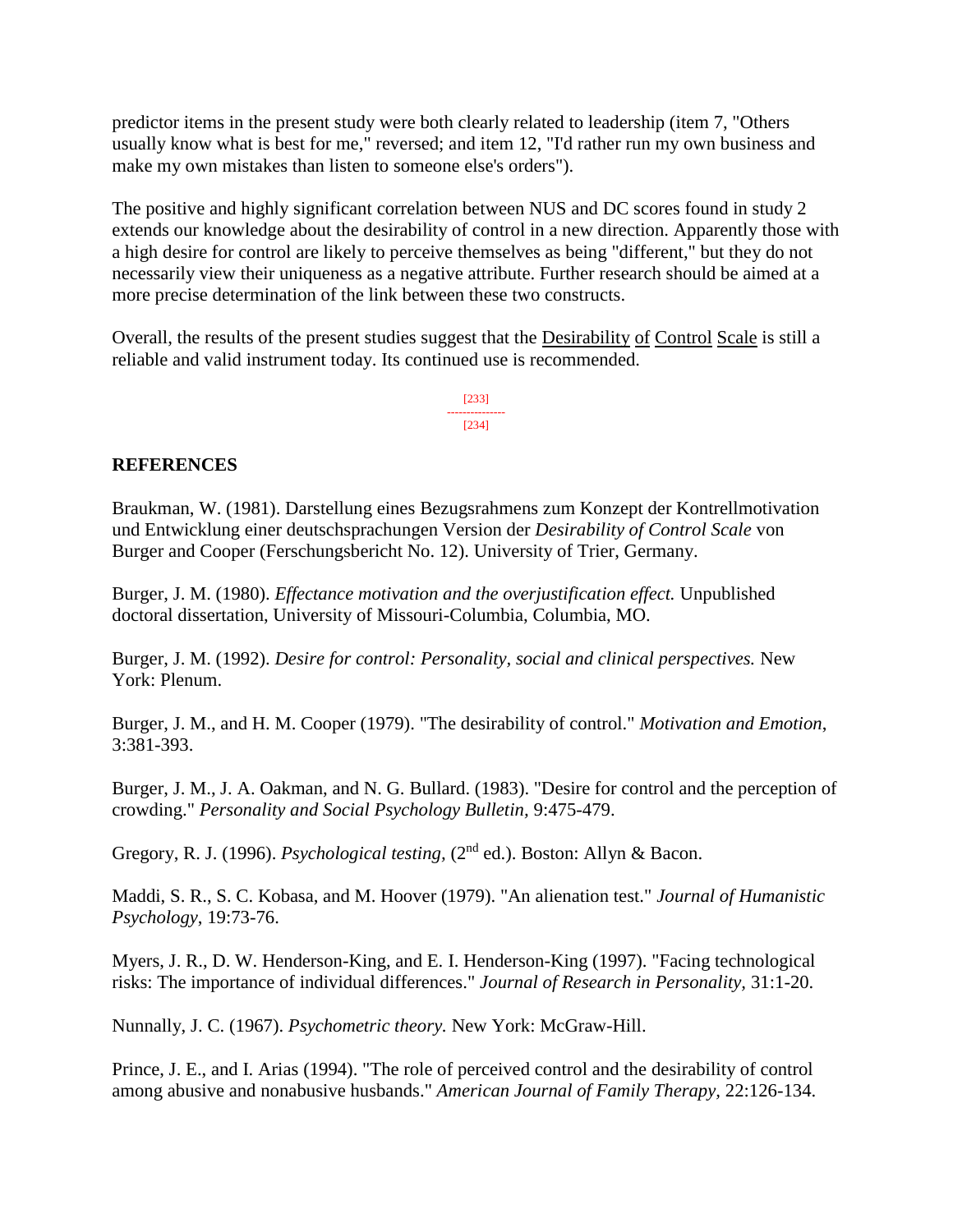predictor items in the present study were both clearly related to leadership (item 7, "Others usually know what is best for me," reversed; and item 12, "I'd rather run my own business and make my own mistakes than listen to someone else's orders").

The positive and highly significant correlation between NUS and DC scores found in study 2 extends our knowledge about the desirability of control in a new direction. Apparently those with a high desire for control are likely to perceive themselves as being "different," but they do not necessarily view their uniqueness as a negative attribute. Further research should be aimed at a more precise determination of the link between these two constructs.

Overall, the results of the present studies suggest that the Desirability of Control Scale is still a reliable and valid instrument today. Its continued use is recommended.

> [233] --------------- [234]

## **REFERENCES**

Braukman, W. (1981). Darstellung eines Bezugsrahmens zum Konzept der Kontrellmotivation und Entwicklung einer deutschsprachungen Version der *Desirability of Control Scale* von Burger and Cooper (Ferschungsbericht No. 12). University of Trier, Germany.

Burger, J. M. (1980). *Effectance motivation and the overjustification effect.* Unpublished doctoral dissertation, University of Missouri-Columbia, Columbia, MO.

Burger, J. M. (1992). *Desire for control: Personality, social and clinical perspectives.* New York: Plenum.

Burger, J. M., and H. M. Cooper (1979). "The desirability of control." *Motivation and Emotion*, 3:381-393.

Burger, J. M., J. A. Oakman, and N. G. Bullard. (1983). "Desire for control and the perception of crowding." *Personality and Social Psychology Bulletin,* 9:475-479.

Gregory, R. J. (1996). *Psychological testing,* (2nd ed.). Boston: Allyn & Bacon.

Maddi, S. R., S. C. Kobasa, and M. Hoover (1979). "An alienation test." *Journal of Humanistic Psychology*, 19:73-76.

Myers, J. R., D. W. Henderson-King, and E. I. Henderson-King (1997). "Facing technological risks: The importance of individual differences." *Journal of Research in Personality,* 31:1-20.

Nunnally, J. C. (1967). *Psychometric theory.* New York: McGraw-Hill.

Prince, J. E., and I. Arias (1994). "The role of perceived control and the desirability of control among abusive and nonabusive husbands." *American Journal of Family Therapy,* 22:126-134.